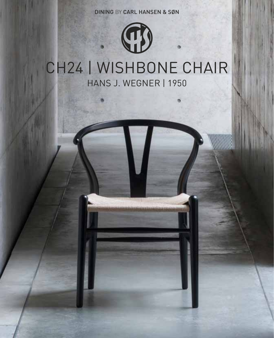DINING BY CARL HANSEN & SØN

# CH24 | wishbone chair HANS J. WEGNER | 1950